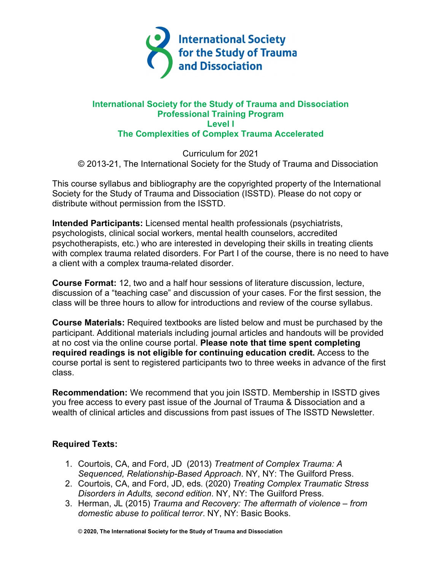

### **International Society for the Study of Trauma and Dissociation Professional Training Program Level I The Complexities of Complex Trauma Accelerated**

Curriculum for 2021 © 2013-21, The International Society for the Study of Trauma and Dissociation

This course syllabus and bibliography are the copyrighted property of the International Society for the Study of Trauma and Dissociation (ISSTD). Please do not copy or distribute without permission from the ISSTD.

**Intended Participants:** Licensed mental health professionals (psychiatrists, psychologists, clinical social workers, mental health counselors, accredited psychotherapists, etc.) who are interested in developing their skills in treating clients with complex trauma related disorders. For Part I of the course, there is no need to have a client with a complex trauma-related disorder.

**Course Format:** 12, two and a half hour sessions of literature discussion, lecture, discussion of a "teaching case" and discussion of your cases. For the first session, the class will be three hours to allow for introductions and review of the course syllabus.

**Course Materials:** Required textbooks are listed below and must be purchased by the participant. Additional materials including journal articles and handouts will be provided at no cost via the online course portal. **Please note that time spent completing required readings is not eligible for continuing education credit.** Access to the course portal is sent to registered participants two to three weeks in advance of the first class.

**Recommendation:** We recommend that you join ISSTD. Membership in ISSTD gives you free access to every past issue of the Journal of Trauma & Dissociation and a wealth of clinical articles and discussions from past issues of The ISSTD Newsletter.

# **Required Texts:**

- 1. Courtois, CA, and Ford, JD (2013) *Treatment of Complex Trauma: A Sequenced, Relationship-Based Approach*. NY, NY: The Guilford Press.
- 2. Courtois, CA, and Ford, JD, eds. (2020) *Treating Complex Traumatic Stress Disorders in Adults, second edition*. NY, NY: The Guilford Press.
- 3. Herman, JL (2015) *Trauma and Recovery: The aftermath of violence – from domestic abuse to political terror*. NY, NY: Basic Books.

© **2020, The International Society for the Study of Trauma and Dissociation**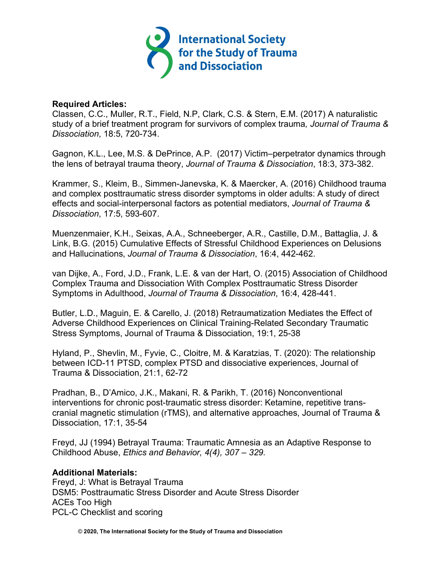

#### **Required Articles:**

Classen, C.C., Muller, R.T., Field, N.P, Clark, C.S. & Stern, E.M. (2017) A naturalistic study of a brief treatment program for survivors of complex trauma*, Journal of Trauma & Dissociation*, 18:5, 720-734.

Gagnon, K.L., Lee, M.S. & DePrince, A.P. (2017) Victim–perpetrator dynamics through the lens of betrayal trauma theory, *Journal of Trauma & Dissociation*, 18:3, 373-382.

Krammer, S., Kleim, B., Simmen-Janevska, K. & Maercker, A. (2016) Childhood trauma and complex posttraumatic stress disorder symptoms in older adults: A study of direct effects and social-interpersonal factors as potential mediators, *Journal of Trauma & Dissociation*, 17:5, 593-607.

Muenzenmaier, K.H., Seixas, A.A., Schneeberger, A.R., Castille, D.M., Battaglia, J. & Link, B.G. (2015) Cumulative Effects of Stressful Childhood Experiences on Delusions and Hallucinations, *Journal of Trauma & Dissociation*, 16:4, 442-462.

van Dijke, A., Ford, J.D., Frank, L.E. & van der Hart, O. (2015) Association of Childhood Complex Trauma and Dissociation With Complex Posttraumatic Stress Disorder Symptoms in Adulthood, *Journal of Trauma & Dissociation*, 16:4, 428-441.

Butler, L.D., Maguin, E. & Carello, J. (2018) Retraumatization Mediates the Effect of Adverse Childhood Experiences on Clinical Training-Related Secondary Traumatic Stress Symptoms, Journal of Trauma & Dissociation, 19:1, 25-38

Hyland, P., Shevlin, M., Fyvie, C., Cloitre, M. & Karatzias, T. (2020): The relationship between ICD-11 PTSD, complex PTSD and dissociative experiences, Journal of Trauma & Dissociation, 21:1, 62-72

Pradhan, B., D'Amico, J.K., Makani, R. & Parikh, T. (2016) Nonconventional interventions for chronic post-traumatic stress disorder: Ketamine, repetitive transcranial magnetic stimulation (rTMS), and alternative approaches, Journal of Trauma & Dissociation, 17:1, 35-54

Freyd, JJ (1994) Betrayal Trauma: Traumatic Amnesia as an Adaptive Response to Childhood Abuse, *Ethics and Behavior, 4(4), 307 – 329.* 

#### **Additional Materials:**

Freyd, J: What is Betrayal Trauma DSM5: Posttraumatic Stress Disorder and Acute Stress Disorder ACEs Too High PCL-C Checklist and scoring

© **2020, The International Society for the Study of Trauma and Dissociation**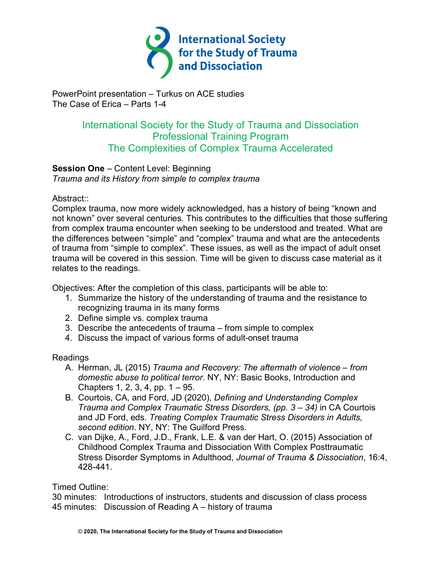

PowerPoint presentation – Turkus on ACE studies The Case of Erica – Parts 1-4

# International Society for the Study of Trauma and Dissociation Professional Training Program The Complexities of Complex Trauma Accelerated

# **Session One** – Content Level: Beginning

*Trauma and its History from simple to complex trauma*

#### Abstract::

Complex trauma, now more widely acknowledged, has a history of being "known and not known" over several centuries. This contributes to the difficulties that those suffering from complex trauma encounter when seeking to be understood and treated. What are the differences between "simple" and "complex" trauma and what are the antecedents of trauma from "simple to complex". These issues, as well as the impact of adult onset trauma will be covered in this session. Time will be given to discuss case material as it relates to the readings.

Objectives: After the completion of this class, participants will be able to:

- 1. Summarize the history of the understanding of trauma and the resistance to recognizing trauma in its many forms
- 2. Define simple vs. complex trauma
- 3. Describe the antecedents of trauma from simple to complex
- 4. Discuss the impact of various forms of adult-onset trauma

#### **Readings**

- A. Herman, JL (2015) *Trauma and Recovery: The aftermath of violence – from domestic abuse to political terror*. NY, NY: Basic Books, Introduction and Chapters 1, 2, 3, 4, pp. 1 – 95.
- B. Courtois, CA, and Ford, JD (2020), *Defining and Understanding Complex Trauma and Complex Traumatic Stress Disorders, (pp. 3 – 34)* in CA Courtois and JD Ford, eds. *Treating Complex Traumatic Stress Disorders in Adults, second edition*. NY, NY: The Guilford Press.
- C. van Dijke, A., Ford, J.D., Frank, L.E. & van der Hart, O. (2015) Association of Childhood Complex Trauma and Dissociation With Complex Posttraumatic Stress Disorder Symptoms in Adulthood, *Journal of Trauma & Dissociation*, 16:4, 428-441.

# Timed Outline:

30 minutes: Introductions of instructors, students and discussion of class process 45 minutes: Discussion of Reading A – history of trauma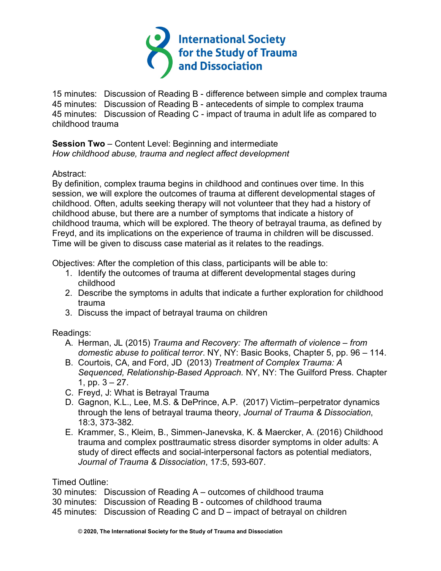

15 minutes: Discussion of Reading B - difference between simple and complex trauma 45 minutes: Discussion of Reading B - antecedents of simple to complex trauma 45 minutes: Discussion of Reading C - impact of trauma in adult life as compared to childhood trauma

**Session Two** – Content Level: Beginning and intermediate *How childhood abuse, trauma and neglect affect development*

Abstract:

By definition, complex trauma begins in childhood and continues over time. In this session, we will explore the outcomes of trauma at different developmental stages of childhood. Often, adults seeking therapy will not volunteer that they had a history of childhood abuse, but there are a number of symptoms that indicate a history of childhood trauma, which will be explored. The theory of betrayal trauma, as defined by Freyd, and its implications on the experience of trauma in children will be discussed. Time will be given to discuss case material as it relates to the readings.

Objectives: After the completion of this class, participants will be able to:

- 1. Identify the outcomes of trauma at different developmental stages during childhood
- 2. Describe the symptoms in adults that indicate a further exploration for childhood trauma
- 3. Discuss the impact of betrayal trauma on children

Readings:

- A. Herman, JL (2015) *Trauma and Recovery: The aftermath of violence – from domestic abuse to political terror*. NY, NY: Basic Books, Chapter 5, pp. 96 – 114.
- B. Courtois, CA, and Ford, JD (2013) *Treatment of Complex Trauma: A Sequenced, Relationship-Based Approach.* NY, NY: The Guilford Press. Chapter 1, pp.  $3 - 27$ .
- C. Freyd, J: What is Betrayal Trauma
- D. Gagnon, K.L., Lee, M.S. & DePrince, A.P. (2017) Victim–perpetrator dynamics through the lens of betrayal trauma theory, *Journal of Trauma & Dissociation*, 18:3, 373-382.
- E. Krammer, S., Kleim, B., Simmen-Janevska, K. & Maercker, A. (2016) Childhood trauma and complex posttraumatic stress disorder symptoms in older adults: A study of direct effects and social-interpersonal factors as potential mediators, *Journal of Trauma & Dissociation*, 17:5, 593-607.

Timed Outline:

30 minutes: Discussion of Reading A – outcomes of childhood trauma

- 30 minutes: Discussion of Reading B outcomes of childhood trauma
- 45 minutes: Discussion of Reading C and D impact of betrayal on children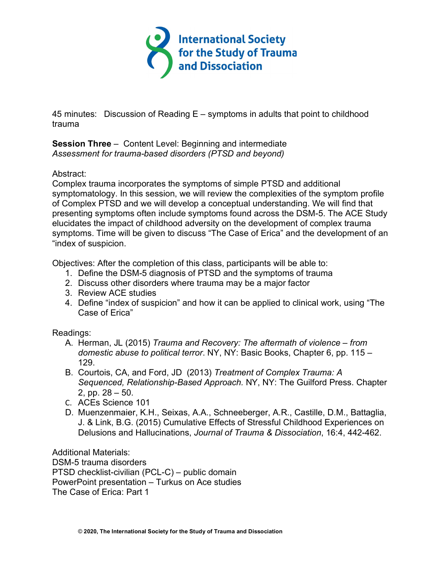

45 minutes: Discussion of Reading E – symptoms in adults that point to childhood trauma

**Session Three** – Content Level: Beginning and intermediate *Assessment for trauma-based disorders (PTSD and beyond)*

#### Abstract:

Complex trauma incorporates the symptoms of simple PTSD and additional symptomatology. In this session, we will review the complexities of the symptom profile of Complex PTSD and we will develop a conceptual understanding. We will find that presenting symptoms often include symptoms found across the DSM-5. The ACE Study elucidates the impact of childhood adversity on the development of complex trauma symptoms. Time will be given to discuss "The Case of Erica" and the development of an "index of suspicion.

Objectives: After the completion of this class, participants will be able to:

- 1. Define the DSM-5 diagnosis of PTSD and the symptoms of trauma
- 2. Discuss other disorders where trauma may be a major factor
- 3. Review ACE studies
- 4. Define "index of suspicion" and how it can be applied to clinical work, using "The Case of Erica"

# Readings:

- A. Herman, JL (2015) *Trauma and Recovery: The aftermath of violence – from domestic abuse to political terror*. NY, NY: Basic Books, Chapter 6, pp. 115 – 129.
- B. Courtois, CA, and Ford, JD (2013) *Treatment of Complex Trauma: A Sequenced, Relationship-Based Approach.* NY, NY: The Guilford Press. Chapter 2, pp. 28 – 50.
- C. ACEs Science 101
- D. Muenzenmaier, K.H., Seixas, A.A., Schneeberger, A.R., Castille, D.M., Battaglia, J. & Link, B.G. (2015) Cumulative Effects of Stressful Childhood Experiences on Delusions and Hallucinations, *Journal of Trauma & Dissociation*, 16:4, 442-462.

Additional Materials: DSM-5 trauma disorders PTSD checklist-civilian (PCL-C) – public domain PowerPoint presentation – Turkus on Ace studies The Case of Erica: Part 1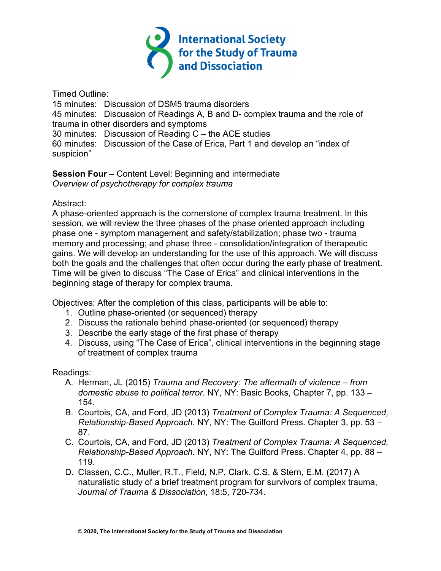

Timed Outline:

15 minutes: Discussion of DSM5 trauma disorders

45 minutes: Discussion of Readings A, B and D- complex trauma and the role of trauma in other disorders and symptoms

30 minutes: Discussion of Reading C – the ACE studies

60 minutes: Discussion of the Case of Erica, Part 1 and develop an "index of suspicion"

### **Session Four** – Content Level: Beginning and intermediate *Overview of psychotherapy for complex trauma*

# Abstract:

A phase-oriented approach is the cornerstone of complex trauma treatment. In this session, we will review the three phases of the phase oriented approach including phase one - symptom management and safety/stabilization; phase two - trauma memory and processing; and phase three - consolidation/integration of therapeutic gains. We will develop an understanding for the use of this approach. We will discuss both the goals and the challenges that often occur during the early phase of treatment. Time will be given to discuss "The Case of Erica" and clinical interventions in the beginning stage of therapy for complex trauma.

Objectives: After the completion of this class, participants will be able to:

- 1. Outline phase-oriented (or sequenced) therapy
- 2. Discuss the rationale behind phase-oriented (or sequenced) therapy
- 3. Describe the early stage of the first phase of therapy
- 4. Discuss, using "The Case of Erica", clinical interventions in the beginning stage of treatment of complex trauma

- A. Herman, JL (2015) *Trauma and Recovery: The aftermath of violence – from domestic abuse to political terror*. NY, NY: Basic Books, Chapter 7, pp. 133 – 154.
- B. Courtois, CA, and Ford, JD (2013) *Treatment of Complex Trauma: A Sequenced, Relationship-Based Approach*. NY, NY: The Guilford Press. Chapter 3, pp. 53 – 87.
- C. Courtois, CA, and Ford, JD (2013) *Treatment of Complex Trauma: A Sequenced, Relationship-Based Approach.* NY, NY: The Guilford Press. Chapter 4, pp. 88 – 119.
- D. Classen, C.C., Muller, R.T., Field, N.P, Clark, C.S. & Stern, E.M. (2017) A naturalistic study of a brief treatment program for survivors of complex trauma, *Journal of Trauma & Dissociation*, 18:5, 720-734.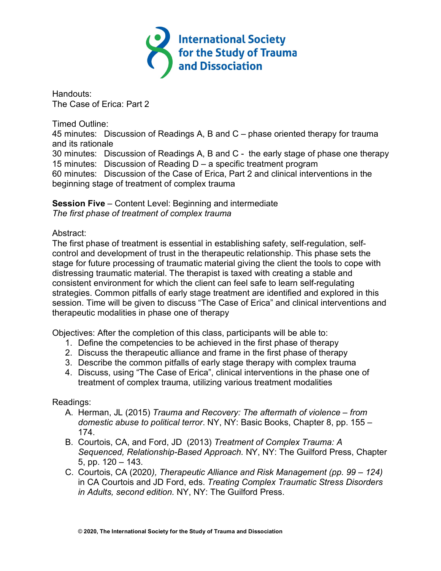

Handouts: The Case of Erica: Part 2

Timed Outline:

45 minutes: Discussion of Readings A, B and C – phase oriented therapy for trauma and its rationale

30 minutes: Discussion of Readings A, B and C - the early stage of phase one therapy 15 minutes: Discussion of Reading D – a specific treatment program

60 minutes: Discussion of the Case of Erica, Part 2 and clinical interventions in the beginning stage of treatment of complex trauma

**Session Five** – Content Level: Beginning and intermediate *The first phase of treatment of complex trauma*

# Abstract:

The first phase of treatment is essential in establishing safety, self-regulation, selfcontrol and development of trust in the therapeutic relationship. This phase sets the stage for future processing of traumatic material giving the client the tools to cope with distressing traumatic material. The therapist is taxed with creating a stable and consistent environment for which the client can feel safe to learn self-regulating strategies. Common pitfalls of early stage treatment are identified and explored in this session. Time will be given to discuss "The Case of Erica" and clinical interventions and therapeutic modalities in phase one of therapy

Objectives: After the completion of this class, participants will be able to:

- 1. Define the competencies to be achieved in the first phase of therapy
- 2. Discuss the therapeutic alliance and frame in the first phase of therapy
- 3. Describe the common pitfalls of early stage therapy with complex trauma
- 4. Discuss, using "The Case of Erica", clinical interventions in the phase one of treatment of complex trauma, utilizing various treatment modalities

- A. Herman, JL (2015) *Trauma and Recovery: The aftermath of violence – from domestic abuse to political terror*. NY, NY: Basic Books, Chapter 8, pp. 155 – 174.
- B. Courtois, CA, and Ford, JD (2013) *Treatment of Complex Trauma: A Sequenced, Relationship-Based Approach.* NY, NY: The Guilford Press, Chapter 5, pp. 120 – 143.
- C. Courtois, CA (2020*), Therapeutic Alliance and Risk Management (pp. 99 – 124)* in CA Courtois and JD Ford, eds. *Treating Complex Traumatic Stress Disorders in Adults, second edition.* NY, NY: The Guilford Press.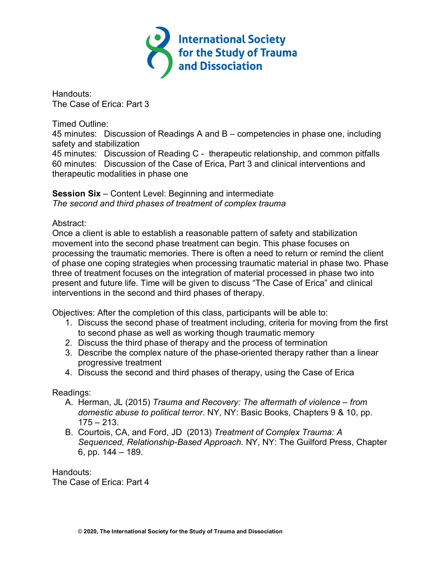

Handouts: The Case of Erica: Part 3

Timed Outline:

45 minutes: Discussion of Readings A and B – competencies in phase one, including safety and stabilization

45 minutes: Discussion of Reading C - therapeutic relationship, and common pitfalls 60 minutes: Discussion of the Case of Erica, Part 3 and clinical interventions and therapeutic modalities in phase one

**Session Six** – Content Level: Beginning and intermediate *The second and third phases of treatment of complex trauma*

# Abstract:

Once a client is able to establish a reasonable pattern of safety and stabilization movement into the second phase treatment can begin. This phase focuses on processing the traumatic memories. There is often a need to return or remind the client of phase one coping strategies when processing traumatic material in phase two. Phase three of treatment focuses on the integration of material processed in phase two into present and future life. Time will be given to discuss "The Case of Erica" and clinical interventions in the second and third phases of therapy.

Objectives: After the completion of this class, participants will be able to:

- 1. Discuss the second phase of treatment including, criteria for moving from the first to second phase as well as working though traumatic memory
- 2. Discuss the third phase of therapy and the process of termination
- 3. Describe the complex nature of the phase-oriented therapy rather than a linear progressive treatment
- 4. Discuss the second and third phases of therapy, using the Case of Erica

Readings:

- A. Herman, JL (2015) *Trauma and Recovery: The aftermath of violence – from domestic abuse to political terror*. NY, NY: Basic Books, Chapters 9 & 10, pp.  $175 - 213$ .
- B. Courtois, CA, and Ford, JD (2013) *Treatment of Complex Trauma: A Sequenced, Relationship-Based Approach*. NY, NY: The Guilford Press, Chapter 6, pp. 144 – 189.

Handouts: The Case of Erica: Part 4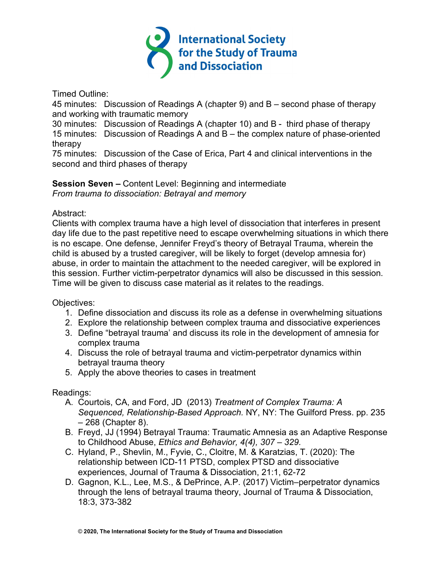

Timed Outline:

45 minutes: Discussion of Readings A (chapter 9) and B – second phase of therapy and working with traumatic memory

30 minutes: Discussion of Readings A (chapter 10) and B - third phase of therapy

15 minutes: Discussion of Readings A and B – the complex nature of phase-oriented therapy

75 minutes: Discussion of the Case of Erica, Part 4 and clinical interventions in the second and third phases of therapy

**Session Seven –** Content Level: Beginning and intermediate *From trauma to dissociation: Betrayal and memory*

### Abstract:

Clients with complex trauma have a high level of dissociation that interferes in present day life due to the past repetitive need to escape overwhelming situations in which there is no escape. One defense, Jennifer Freyd's theory of Betrayal Trauma, wherein the child is abused by a trusted caregiver, will be likely to forget (develop amnesia for) abuse, in order to maintain the attachment to the needed caregiver, will be explored in this session. Further victim-perpetrator dynamics will also be discussed in this session. Time will be given to discuss case material as it relates to the readings.

Objectives:

- 1. Define dissociation and discuss its role as a defense in overwhelming situations
- 2. Explore the relationship between complex trauma and dissociative experiences
- 3. Define "betrayal trauma' and discuss its role in the development of amnesia for complex trauma
- 4. Discuss the role of betrayal trauma and victim-perpetrator dynamics within betrayal trauma theory
- 5. Apply the above theories to cases in treatment

- A. Courtois, CA, and Ford, JD (2013) *Treatment of Complex Trauma: A Sequenced, Relationship-Based Approach.* NY, NY: The Guilford Press. pp. 235 – 268 (Chapter 8).
- B. Freyd, JJ (1994) Betrayal Trauma: Traumatic Amnesia as an Adaptive Response to Childhood Abuse, *Ethics and Behavior, 4(4), 307 – 329.*
- C. Hyland, P., Shevlin, M., Fyvie, C., Cloitre, M. & Karatzias, T. (2020): The relationship between ICD-11 PTSD, complex PTSD and dissociative experiences, Journal of Trauma & Dissociation, 21:1, 62-72
- D. Gagnon, K.L., Lee, M.S., & DePrince, A.P. (2017) Victim–perpetrator dynamics through the lens of betrayal trauma theory, Journal of Trauma & Dissociation, 18:3, 373-382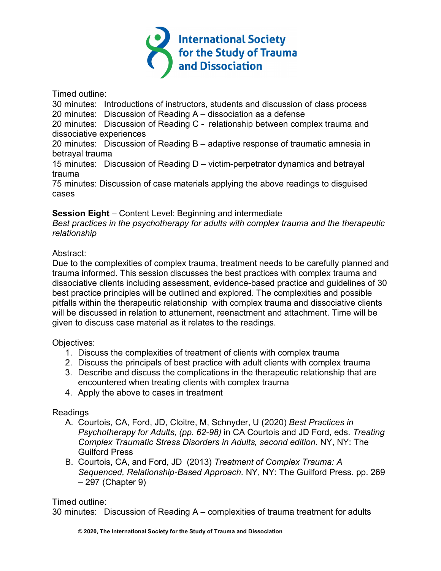

Timed outline:

30 minutes: Introductions of instructors, students and discussion of class process

20 minutes: Discussion of Reading A – dissociation as a defense

20 minutes: Discussion of Reading C - relationship between complex trauma and dissociative experiences

20 minutes: Discussion of Reading B – adaptive response of traumatic amnesia in betrayal trauma

15 minutes: Discussion of Reading D – victim-perpetrator dynamics and betrayal trauma

75 minutes: Discussion of case materials applying the above readings to disguised cases

# **Session Eight** – Content Level: Beginning and intermediate

*Best practices in the psychotherapy for adults with complex trauma and the therapeutic relationship*

# Abstract:

Due to the complexities of complex trauma, treatment needs to be carefully planned and trauma informed. This session discusses the best practices with complex trauma and dissociative clients including assessment, evidence-based practice and guidelines of 30 best practice principles will be outlined and explored. The complexities and possible pitfalls within the therapeutic relationship with complex trauma and dissociative clients will be discussed in relation to attunement, reenactment and attachment. Time will be given to discuss case material as it relates to the readings.

# Objectives:

- 1. Discuss the complexities of treatment of clients with complex trauma
- 2. Discuss the principals of best practice with adult clients with complex trauma
- 3. Describe and discuss the complications in the therapeutic relationship that are encountered when treating clients with complex trauma
- 4. Apply the above to cases in treatment

# Readings

- A. Courtois, CA, Ford, JD, Cloitre, M, Schnyder, U (2020) *Best Practices in Psychotherapy for Adults, (pp. 62-98)* in CA Courtois and JD Ford, eds. *Treating Complex Traumatic Stress Disorders in Adults, second edition*. NY, NY: The Guilford Press
- B. Courtois, CA, and Ford, JD (2013) *Treatment of Complex Trauma: A Sequenced, Relationship-Based Approach.* NY, NY: The Guilford Press. pp. 269 – 297 (Chapter 9)

# Timed outline:

30 minutes: Discussion of Reading A – complexities of trauma treatment for adults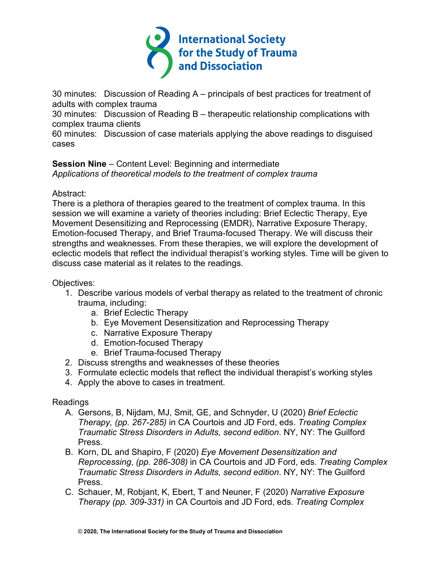

30 minutes: Discussion of Reading A – principals of best practices for treatment of adults with complex trauma

30 minutes: Discussion of Reading B – therapeutic relationship complications with complex trauma clients

60 minutes: Discussion of case materials applying the above readings to disguised cases

#### **Session Nine** – Content Level: Beginning and intermediate *Applications of theoretical models to the treatment of complex trauma*

# Abstract:

There is a plethora of therapies geared to the treatment of complex trauma. In this session we will examine a variety of theories including: Brief Eclectic Therapy, Eye Movement Desensitizing and Reprocessing (EMDR), Narrative Exposure Therapy, Emotion-focused Therapy, and Brief Trauma-focused Therapy. We will discuss their strengths and weaknesses. From these therapies, we will explore the development of eclectic models that reflect the individual therapist's working styles. Time will be given to discuss case material as it relates to the readings.

# Objectives:

- 1. Describe various models of verbal therapy as related to the treatment of chronic trauma, including:
	- a. Brief Eclectic Therapy
	- b. Eye Movement Desensitization and Reprocessing Therapy
	- c. Narrative Exposure Therapy
	- d. Emotion-focused Therapy
	- e. Brief Trauma-focused Therapy
- 2. Discuss strengths and weaknesses of these theories
- 3. Formulate eclectic models that reflect the individual therapist's working styles
- 4. Apply the above to cases in treatment.

- A. Gersons, B, Nijdam, MJ, Smit, GE, and Schnyder, U (2020) *Brief Eclectic Therapy, (pp. 267-285)* in CA Courtois and JD Ford, eds. *Treating Complex Traumatic Stress Disorders in Adults, second edition*. NY, NY: The Guilford Press.
- B. Korn, DL and Shapiro, F (2020) *Eye Movement Desensitization and Reprocessing*, *(pp. 286-308)* in CA Courtois and JD Ford, eds. *Treating Complex Traumatic Stress Disorders in Adults, second edition*. NY, NY: The Guilford Press.
- C. Schauer, M, Robjant, K, Ebert, T and Neuner, F (2020) *Narrative Exposure Therapy (pp. 309-331)* in CA Courtois and JD Ford, eds. *Treating Complex*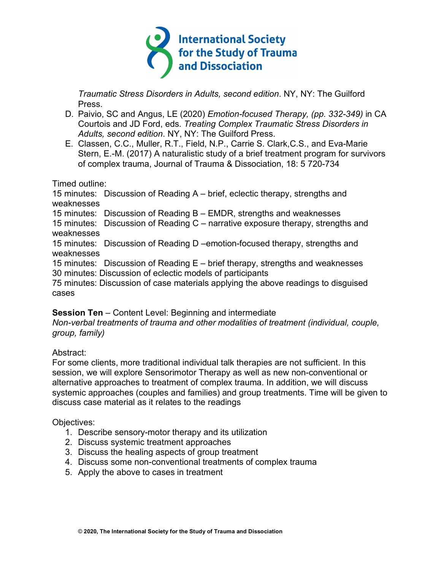

*Traumatic Stress Disorders in Adults, second edition*. NY, NY: The Guilford Press.

- D. Paivio, SC and Angus, LE (2020) *Emotion-focused Therapy, (pp. 332-349)* in CA Courtois and JD Ford, eds. *Treating Complex Traumatic Stress Disorders in Adults, second edition*. NY, NY: The Guilford Press.
- E. Classen, C.C., Muller, R.T., Field, N.P., Carrie S. Clark,C.S., and Eva-Marie Stern, E.-M. (2017) A naturalistic study of a brief treatment program for survivors of complex trauma, Journal of Trauma & Dissociation, 18: 5 720-734

Timed outline:

15 minutes: Discussion of Reading A – brief, eclectic therapy, strengths and weaknesses 15 minutes: Discussion of Reading B – EMDR, strengths and weaknesses 15 minutes: Discussion of Reading C – narrative exposure therapy, strengths and weaknesses

15 minutes: Discussion of Reading D –emotion-focused therapy, strengths and weaknesses

15 minutes: Discussion of Reading E – brief therapy, strengths and weaknesses 30 minutes: Discussion of eclectic models of participants

75 minutes: Discussion of case materials applying the above readings to disguised cases

# **Session Ten** – Content Level: Beginning and intermediate

*Non-verbal treatments of trauma and other modalities of treatment (individual, couple, group, family)*

# Abstract:

For some clients, more traditional individual talk therapies are not sufficient. In this session, we will explore Sensorimotor Therapy as well as new non-conventional or alternative approaches to treatment of complex trauma. In addition, we will discuss systemic approaches (couples and families) and group treatments. Time will be given to discuss case material as it relates to the readings

# Objectives:

- 1. Describe sensory-motor therapy and its utilization
- 2. Discuss systemic treatment approaches
- 3. Discuss the healing aspects of group treatment
- 4. Discuss some non-conventional treatments of complex trauma
- 5. Apply the above to cases in treatment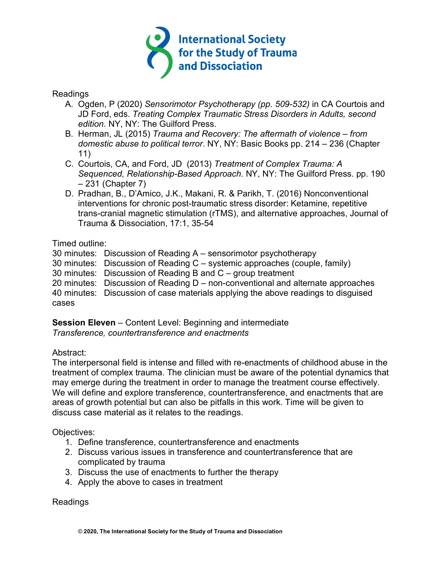

#### Readings

- A. Ogden, P (2020) *Sensorimotor Psychotherapy (pp. 509-532)* in CA Courtois and JD Ford, eds. *Treating Complex Traumatic Stress Disorders in Adults, second edition*. NY, NY: The Guilford Press.
- B. Herman, JL (2015) *Trauma and Recovery: The aftermath of violence – from domestic abuse to political terror*. NY, NY: Basic Books pp. 214 – 236 (Chapter 11)
- C. Courtois, CA, and Ford, JD (2013) *Treatment of Complex Trauma: A Sequenced, Relationship-Based Approach.* NY, NY: The Guilford Press. pp. 190 – 231 (Chapter 7)
- D. Pradhan, B., D'Amico, J.K., Makani, R. & Parikh, T. (2016) Nonconventional interventions for chronic post-traumatic stress disorder: Ketamine, repetitive trans-cranial magnetic stimulation (rTMS), and alternative approaches, Journal of Trauma & Dissociation, 17:1, 35-54

### Timed outline:

- 30 minutes: Discussion of Reading A sensorimotor psychotherapy
- 30 minutes: Discussion of Reading C systemic approaches (couple, family)
- 30 minutes: Discussion of Reading B and C group treatment
- 20 minutes: Discussion of Reading D non-conventional and alternate approaches

40 minutes: Discussion of case materials applying the above readings to disguised cases

**Session Eleven** – Content Level: Beginning and intermediate *Transference, countertransference and enactments*

# Abstract:

The interpersonal field is intense and filled with re-enactments of childhood abuse in the treatment of complex trauma. The clinician must be aware of the potential dynamics that may emerge during the treatment in order to manage the treatment course effectively. We will define and explore transference, countertransference, and enactments that are areas of growth potential but can also be pitfalls in this work. Time will be given to discuss case material as it relates to the readings.

Objectives:

- 1. Define transference, countertransference and enactments
- 2. Discuss various issues in transference and countertransference that are complicated by trauma
- 3. Discuss the use of enactments to further the therapy
- 4. Apply the above to cases in treatment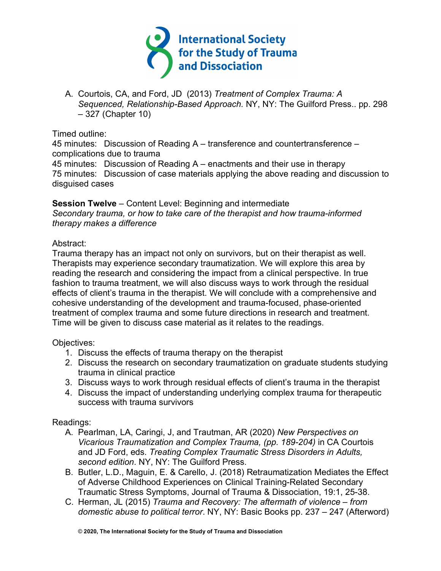

A. Courtois, CA, and Ford, JD (2013) *Treatment of Complex Trauma: A Sequenced, Relationship-Based Approach.* NY, NY: The Guilford Press.. pp. 298 – 327 (Chapter 10)

Timed outline:

45 minutes: Discussion of Reading A – transference and countertransference – complications due to trauma

45 minutes: Discussion of Reading A – enactments and their use in therapy 75 minutes: Discussion of case materials applying the above reading and discussion to disguised cases

**Session Twelve** – Content Level: Beginning and intermediate *Secondary trauma, or how to take care of the therapist and how trauma-informed therapy makes a difference*

### Abstract:

Trauma therapy has an impact not only on survivors, but on their therapist as well. Therapists may experience secondary traumatization. We will explore this area by reading the research and considering the impact from a clinical perspective. In true fashion to trauma treatment, we will also discuss ways to work through the residual effects of client's trauma in the therapist. We will conclude with a comprehensive and cohesive understanding of the development and trauma-focused, phase-oriented treatment of complex trauma and some future directions in research and treatment. Time will be given to discuss case material as it relates to the readings.

Objectives:

- 1. Discuss the effects of trauma therapy on the therapist
- 2. Discuss the research on secondary traumatization on graduate students studying trauma in clinical practice
- 3. Discuss ways to work through residual effects of client's trauma in the therapist
- 4. Discuss the impact of understanding underlying complex trauma for therapeutic success with trauma survivors

- A. Pearlman, LA, Caringi, J, and Trautman, AR (2020) *New Perspectives on Vicarious Traumatization and Complex Trauma, (pp. 189-204)* in CA Courtois and JD Ford, eds. *Treating Complex Traumatic Stress Disorders in Adults, second edition*. NY, NY: The Guilford Press.
- B. Butler, L.D., Maguin, E. & Carello, J. (2018) Retraumatization Mediates the Effect of Adverse Childhood Experiences on Clinical Training-Related Secondary Traumatic Stress Symptoms, Journal of Trauma & Dissociation, 19:1, 25-38.
- C. Herman, JL (2015) *Trauma and Recovery: The aftermath of violence – from domestic abuse to political terror*. NY, NY: Basic Books pp. 237 – 247 (Afterword)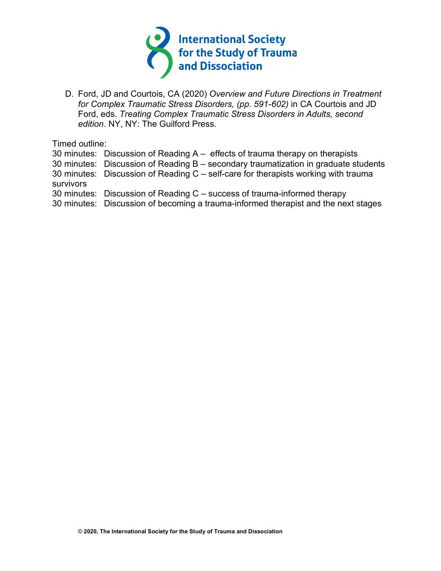

D. Ford, JD and Courtois, CA (2020) *Overview and Future Directions in Treatment for Complex Traumatic Stress Disorders, (pp. 591-602)* in CA Courtois and JD Ford, eds. *Treating Complex Traumatic Stress Disorders in Adults, second edition*. NY, NY: The Guilford Press.

Timed outline:

30 minutes: Discussion of Reading A – effects of trauma therapy on therapists

30 minutes: Discussion of Reading B – secondary traumatization in graduate students

30 minutes: Discussion of Reading C – self-care for therapists working with trauma survivors

30 minutes: Discussion of Reading C – success of trauma-informed therapy

30 minutes: Discussion of becoming a trauma-informed therapist and the next stages